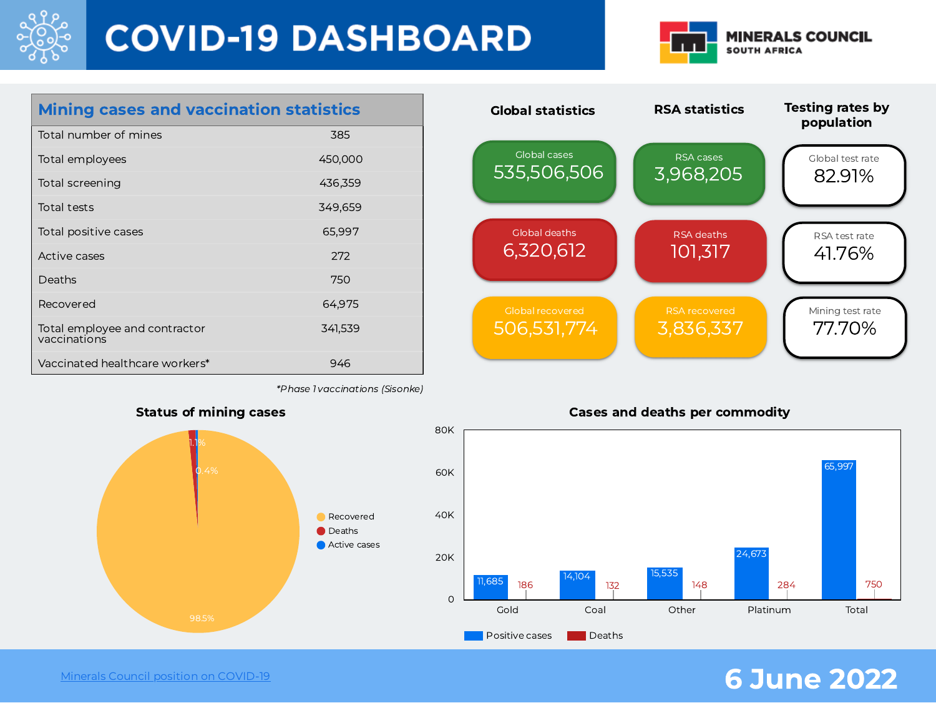

# **COVID-19 DASHBOARD**



| <b>Mining cases and vaccination statistics</b> |         |
|------------------------------------------------|---------|
| Total number of mines                          | 385     |
| Total employees                                | 450,000 |
| Total screening                                | 436,359 |
| Total tests                                    | 349,659 |
| Total positive cases                           | 65,997  |
| Active cases                                   | 272     |
| Deaths                                         | 750     |
| Recovered                                      | 64,975  |
| Total employee and contractor<br>vaccinations  | 341,539 |
| Vaccinated healthcare workers*                 | 946     |

RSA statistics Global cases 535,506,506 Global deaths 6,320,612 RSA deaths 101,317 Global recovered 506,531,774 3,836,337 Global statistics Testing rates by population Global test rate 82.91% RSA test rate 41.76% Mining test rate 77.70% RSA cases 3,968,205

\*Phase 1 vaccinations (Sisonke)



Minerals Council position on [COVID-19](https://www.mineralscouncil.org.za/minerals-council-position-on-covid-19) **6 June 2022**